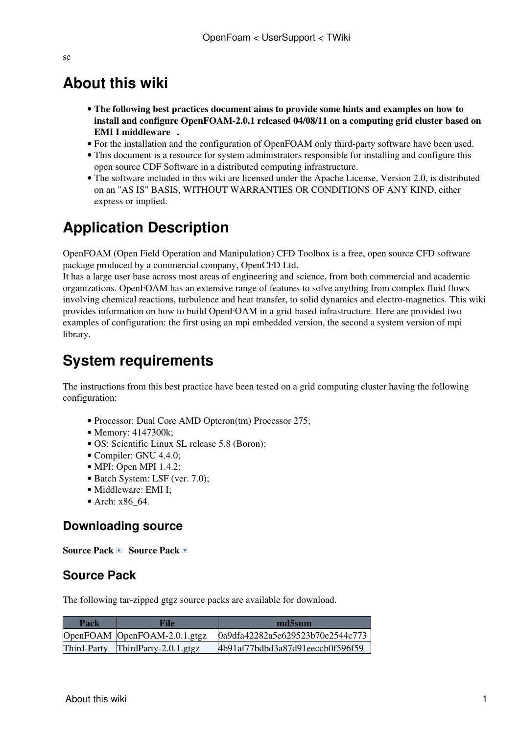#### se

## **About this wiki**

- **The following best practices document aims to provide some hints and examples on how to install and configure [OpenFOAM-](https://wiki-igi.cnaf.infn.it/twiki/bin/edit/UserSupport/OpenFOAM?topicparent=UserSupport.OpenFoam;nowysiwyg=0)2.0.1 released 04/08/11 on a computing grid cluster based on [EMI I middleware](https://wiki.italiangrid.it/twiki/bin/view/IGIRelease/IgiEmi) .**
- For the installation and the configuration of [OpenFOAM](https://wiki-igi.cnaf.infn.it/twiki/bin/edit/UserSupport/OpenFOAM?topicparent=UserSupport.OpenFoam;nowysiwyg=0) only third-party software have been used.
- This document is a resource for system administrators responsible for installing and configure this open source CDF Software in a distributed computing infrastructure.
- The software included in this wiki are licensed under the Apache License, Version 2.0, is distributed on an "AS IS" BASIS, WITHOUT WARRANTIES OR CONDITIONS OF ANY KIND, either express or implied.

# **Application Description**

[OpenFOAM](https://wiki-igi.cnaf.infn.it/twiki/bin/edit/UserSupport/OpenFOAM?topicparent=UserSupport.OpenFoam;nowysiwyg=0) (Open Field Operation and Manipulation) CFD Toolbox is a free, open source CFD software package produced by a commercial company, [OpenCFD](https://wiki-igi.cnaf.infn.it/twiki/bin/edit/UserSupport/OpenCFD?topicparent=UserSupport.OpenFoam;nowysiwyg=0) Ltd.

It has a large user base across most areas of engineering and science, from both commercial and academic organizations. [OpenFOAM](https://wiki-igi.cnaf.infn.it/twiki/bin/edit/UserSupport/OpenFOAM?topicparent=UserSupport.OpenFoam;nowysiwyg=0) has an extensive range of features to solve anything from complex fluid flows involving chemical reactions, turbulence and heat transfer, to solid dynamics and electro-magnetics. This wiki provides information on how to build [OpenFOAM](https://wiki-igi.cnaf.infn.it/twiki/bin/edit/UserSupport/OpenFOAM?topicparent=UserSupport.OpenFoam;nowysiwyg=0) in a grid-based infrastructure. Here are provided two examples of configuration: the first using an mpi embedded version, the second a system version of mpi library.

# **System requirements**

The instructions from this best practice have been tested on a grid computing cluster having the following configuration:

- Processor: Dual Core AMD Opteron(tm) Processor 275;
- Memory: 4147300k;
- OS: Scientific Linux SL release 5.8 (Boron);
- Compiler: GNU 4.4.0:
- MPI: Open MPI 1.4.2:
- Batch System: LSF (ver. 7.0);
- Middleware: EMI I;
- Arch: x86\_64.

#### **Downloading source**

**Source Pack B** Source Pack D

#### **Source Pack**

The following tar-zipped gtgz source packs are available for download.

| Pack        | File                         | md5sum                           |
|-------------|------------------------------|----------------------------------|
|             | OpenFOAM OpenFOAM-2.0.1.gtgz | 0a9dfa42282a5e629523b70e2544c773 |
| Third-Party | ThirdParty-2.0.1.gtgz        | 4b91af77bdbd3a87d91eeccb0f596f59 |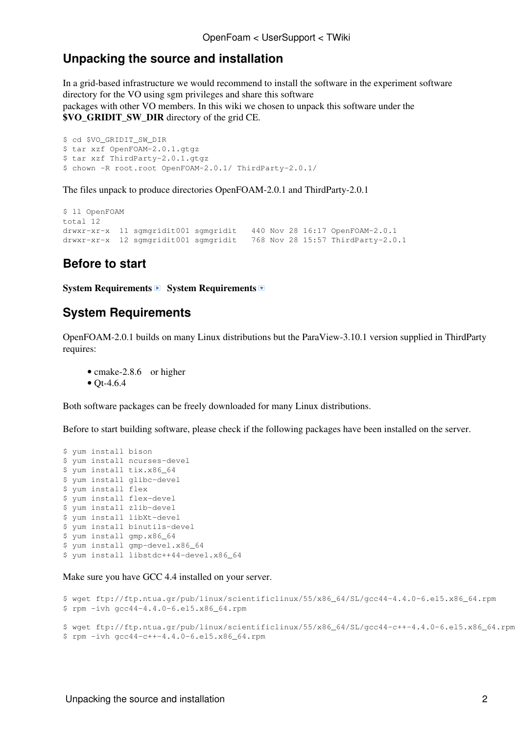#### **Unpacking the source and installation**

In a grid-based infrastructure we would recommend to install the software in the experiment software directory for the VO using sgm privileges and share this software packages with other VO members. In this wiki we chosen to unpack this software under the **\$VO\_GRIDIT\_SW\_DIR** directory of the grid CE.

```
$ cd $VO GRIDIT SW DIR
$ tar xzf OpenFOAM-2.0.1.gtgz
$ tar xzf ThirdParty-2.0.1.gtgz
$ chown -R root.root OpenFOAM-2.0.1/ ThirdParty-2.0.1/
```
The files unpack to produce directories [OpenFOAM](https://wiki-igi.cnaf.infn.it/twiki/bin/edit/UserSupport/OpenFOAM?topicparent=UserSupport.OpenFoam;nowysiwyg=0)-2.0.1 and [ThirdParty](https://wiki-igi.cnaf.infn.it/twiki/bin/edit/UserSupport/ThirdParty?topicparent=UserSupport.OpenFoam;nowysiwyg=0)-2.0.1

```
$ ll OpenFOAM
total 12
drwxr-xr-x 11 sgmgridit001 sgmgridit 440 Nov 28 16:17 OpenFOAM-2.0.1
drwxr-xr-x 12 sgmgridit001 sgmgridit 768 Nov 28 15:57 ThirdParty-2.0.1
```
#### **Before to start**

**System Requirements B System Requirements** 

#### **System Requirements**

[OpenFOAM-](https://wiki-igi.cnaf.infn.it/twiki/bin/edit/UserSupport/OpenFOAM?topicparent=UserSupport.OpenFoam;nowysiwyg=0)2.0.1 builds on many Linux distributions but the [ParaView-](https://wiki-igi.cnaf.infn.it/twiki/bin/edit/UserSupport/ParaView?topicparent=UserSupport.OpenFoam;nowysiwyg=0)3.10.1 version supplied in [ThirdParty](https://wiki-igi.cnaf.infn.it/twiki/bin/edit/UserSupport/ThirdParty?topicparent=UserSupport.OpenFoam;nowysiwyg=0) requires:

• [cmake-2.8.6](http://www.cmake.org/files/v2.8/cmake-2.8.6.tar.gz) or higher •  $Ot-4.6.4$ 

Both software packages can be freely downloaded for many Linux distributions.

Before to start building software, please check if the following packages have been installed on the server.

```
$ yum install bison 
$ yum install ncurses-devel 
$ yum install tix.x86_64 
$ yum install glibc-devel 
$ yum install flex 
$ yum install flex-devel 
$ yum install zlib-devel 
$ yum install libXt-devel 
$ yum install binutils-devel 
$ yum install gmp.x86_64 
$ yum install gmp-devel.x86_64 
$ yum install libstdc++44-devel.x86_64
```
#### Make sure you have GCC 4.4 installed on your server.

```
$ wget ftp://ftp.ntua.gr/pub/linux/scientificlinux/55/x86_64/SL/gcc44-4.4.0-6.el5.x86_64.rpm
$ rpm -ivh gcc44-4.4.0-6.el5.x86_64.rpm
$ wget ftp://ftp.ntua.gr/pub/linux/scientificlinux/55/x86_64/SL/gcc44-c++-4.4.0-6.el5.x86_64.rpm
$ rpm -ivh gcc44-c++-4.4.0-6.el5.x86_64.rpm
```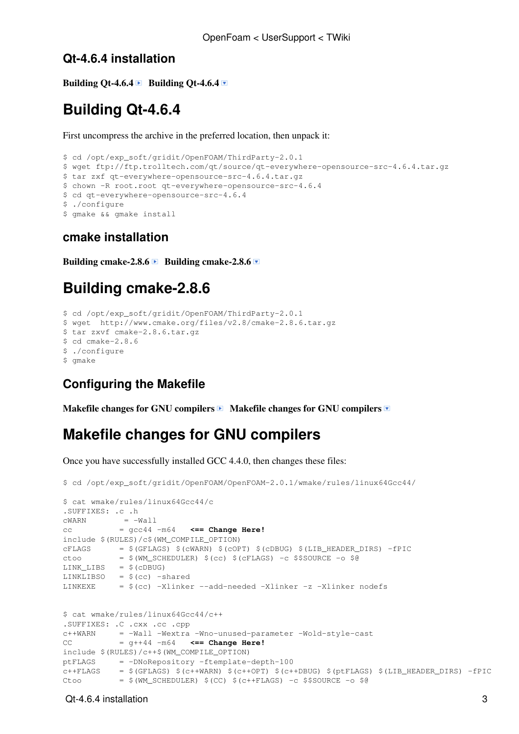#### **Qt-4.6.4 installation**

**Building Qt-4.6.4 Building Qt-4.6.4**  $\blacksquare$ 

### **Building Qt-4.6.4**

First uncompress the archive in the preferred location, then unpack it:

```
$ cd /opt/exp_soft/gridit/OpenFOAM/ThirdParty-2.0.1
$ wget ftp://ftp.trolltech.com/qt/source/qt-everywhere-opensource-src-4.6.4.tar.gz
$ tar zxf qt-everywhere-opensource-src-4.6.4.tar.gz
$ chown -R root.root qt-everywhere-opensource-src-4.6.4
$ cd qt-everywhere-opensource-src-4.6.4
$ ./configure
$ gmake && gmake install
```
#### **cmake installation**

Building cmake-2.8.6 **■** Building cmake-2.8.6 **■** 

### **Building cmake-2.8.6**

```
$ cd /opt/exp_soft/gridit/OpenFOAM/ThirdParty-2.0.1
$ wget http://www.cmake.org/files/v2.8/cmake-2.8.6.tar.gz
$ tar zxvf cmake-2.8.6.tar.gz
$ cd cmake-2.8.6
$ ./configure
$ cmake
```
#### **Configuring the Makefile**

**Makefile changes for GNU compilers D Makefile changes for GNU compilers** 

### **Makefile changes for GNU compilers**

Once you have successfully installed GCC 4.4.0, then changes these files:

```
$ cd /opt/exp_soft/gridit/OpenFOAM/OpenFOAM-2.0.1/wmake/rules/linux64Gcc44/
$ cat wmake/rules/linux64Gcc44/c
.SUFFIXES: .c .h
cWARN = -Wallcc = gcc44 -m64 <== Change Here!
include $(RULES)/c$(WM_COMPILE_OPTION)
cFLAGS = $ (GFLAGS) $ (cWARN) $ (cOPT) $ (cDBUG) $ (LIB_HEADER_DIRS) -fPICctoo = $ (WM\_SCHEDULER) $ (cc) $ (cFLAGS) -c $$SOURCE -o $@LINK_LIBS = $ (cDBUG)LINKLIBSO = $(cc) -shared
LINKEXE = $(cc) -Xlinker --add-needed -Xlinker -z -Xlinker nodefs
$ cat wmake/rules/linux64Gcc44/c++
.SUFFIXES: .C .cxx .cc .cpp
c++WARN = -Wall -Wextra -Wno-unused-parameter -Wold-style-cast
CC = q+44 - m64 \leq Change Here!
include $(RULES)/c++$(WM_COMPILE_OPTION)
ptFLAGS = -DNoRepository -ftemplate-depth-100
c++FLAGS = $(GFLAGS) $(c++WARN) $(c++OPT) $(c++DBUG) $(ptFLAGS) $(LIB_HEADER_DIRS) -fPIC
Ctoo = $ (WM\_SCHEDULER) $ (CC) $ (c++FLAGS) -c $$SOUNCE -o $@
```
#### Qt-4.6.4 installation 3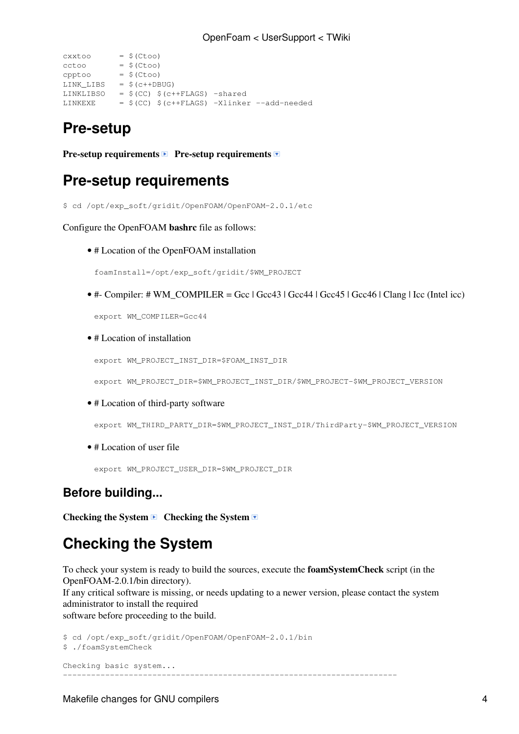```
cxxtoo = $({\text{Ctoo}})cctoo = $ (Ctoo)cpptoo = $(Ctoo)LINK_LIBS = $(c++DBUG)
LINKLIBSO = $(CC) $(c++FLAGS) -sharedLINKEXE = $(CC) $(c++FLAGS) -Xlinker --add-needed
```
### **Pre-setup**

**Pre-setup requirements P Pre-setup requirements** 

### **Pre-setup requirements**

\$ cd /opt/exp\_soft/gridit/OpenFOAM/OpenFOAM-2.0.1/etc

Configure the [OpenFOAM](https://wiki-igi.cnaf.infn.it/twiki/bin/edit/UserSupport/OpenFOAM?topicparent=UserSupport.OpenFoam;nowysiwyg=0) **bashrc** file as follows:

• # Location of the [OpenFOAM](https://wiki-igi.cnaf.infn.it/twiki/bin/edit/UserSupport/OpenFOAM?topicparent=UserSupport.OpenFoam;nowysiwyg=0) installation

foamInstall=/opt/exp\_soft/gridit/\$WM\_PROJECT

• #- Compiler: # WM\_COMPILER = Gcc | Gcc43 | Gcc44 | Gcc45 | Gcc46 | Clang | Icc (Intel icc)

export WM\_COMPILER=Gcc44

• # Location of installation

```
export WM_PROJECT_INST_DIR=$FOAM_INST_DIR
```
export WM\_PROJECT\_DIR=\$WM\_PROJECT\_INST\_DIR/\$WM\_PROJECT-\$WM\_PROJECT\_VERSION

• # Location of third-party software

export WM\_THIRD\_PARTY\_DIR=\$WM\_PROJECT\_INST\_DIR/ThirdParty-\$WM\_PROJECT\_VERSION

• # Location of user file

export WM\_PROJECT\_USER\_DIR=\$WM\_PROJECT\_DIR

#### **Before building...**

**Checking the System ■ Checking the System** 

## **Checking the System**

To check your system is ready to build the sources, execute the **foamSystemCheck** script (in the [OpenFOAM-](https://wiki-igi.cnaf.infn.it/twiki/bin/edit/UserSupport/OpenFOAM?topicparent=UserSupport.OpenFoam;nowysiwyg=0)2.0.1/bin directory). If any critical software is missing, or needs updating to a newer version, please contact the system administrator to install the required software before proceeding to the build.

```
$ cd /opt/exp_soft/gridit/OpenFOAM/OpenFOAM-2.0.1/bin
$ ./foamSystemCheck 
Checking basic system...
-----------------------------------------------------------------------
```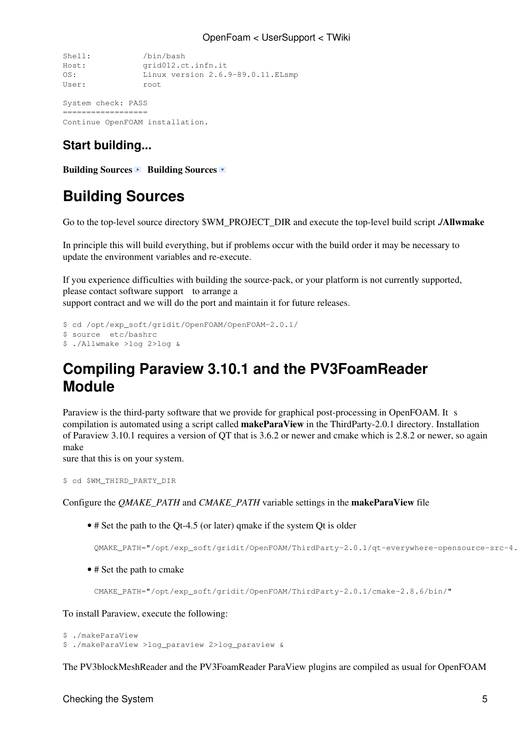```
Shell: /bin/bash
Host: grid012.ct.infn.it
OS: Linux version 2.6.9-89.0.11.ELsmp
User: root
System check: PASS
```
================== Continue OpenFOAM installation.

### **Start building...**

**Building Sources Building Sources** 

# **Building Sources**

Go to the top-level source directory \$WM\_PROJECT\_DIR and execute the top-level build script **./Allwmake**

In principle this will build everything, but if problems occur with the build order it may be necessary to update the environment variables and re-execute.

If you experience difficulties with building the source-pack, or your platform is not currently supported, please contact [software support](http://www.openfoam.com/support/software.php) to arrange a support contract and we will do the port and maintain it for future releases.

```
$ cd /opt/exp_soft/gridit/OpenFOAM/OpenFOAM-2.0.1/
$ source etc/bashrc
$ ./Allwmake >log 2>log &
```
## **Compiling Paraview 3.10.1 and the [PV3FoamReader](https://wiki-igi.cnaf.infn.it/twiki/bin/edit/UserSupport/PV3FoamReader?topicparent=UserSupport.OpenFoam;nowysiwyg=0) Module**

Paraview is the third-party software that we provide for graphical post-processing in [OpenFOAM.](https://wiki-igi.cnaf.infn.it/twiki/bin/edit/UserSupport/OpenFOAM?topicparent=UserSupport.OpenFoam;nowysiwyg=0) It s compilation is automated using a script called **makeParaView** in the [ThirdParty](https://wiki-igi.cnaf.infn.it/twiki/bin/edit/UserSupport/ThirdParty?topicparent=UserSupport.OpenFoam;nowysiwyg=0)-2.0.1 directory. Installation of Paraview 3.10.1 requires a version of QT that is 3.6.2 or newer and cmake which is 2.8.2 or newer, so again make

sure that this is on your system.

```
$ cd $WM_THIRD_PARTY_DIR
```
Configure the *QMAKE\_PATH* and *CMAKE\_PATH* variable settings in the **makeParaView** file

• # Set the path to the Qt-4.5 (or later) qmake if the system Qt is older

QMAKE\_PATH="/opt/exp\_soft/gridit/OpenFOAM/ThirdParty-2.0.1/qt-everywhere-opensource-src-4.6.4/bin/"

• # Set the path to cmake

CMAKE\_PATH="/opt/exp\_soft/gridit/OpenFOAM/ThirdParty-2.0.1/cmake-2.8.6/bin/"

To install Paraview, execute the following:

```
$ ./makeParaView
$ ./makeParaView >log_paraview 2>log_paraview &
```
The [PV3blockMeshReader](https://wiki-igi.cnaf.infn.it/twiki/bin/edit/UserSupport/PV3blockMeshReader?topicparent=UserSupport.OpenFoam;nowysiwyg=0) and the [PV3FoamReader](https://wiki-igi.cnaf.infn.it/twiki/bin/edit/UserSupport/PV3FoamReader?topicparent=UserSupport.OpenFoam;nowysiwyg=0) [ParaView](https://wiki-igi.cnaf.infn.it/twiki/bin/edit/UserSupport/ParaView?topicparent=UserSupport.OpenFoam;nowysiwyg=0) plugins are compiled as usual for [OpenFOAM](https://wiki-igi.cnaf.infn.it/twiki/bin/edit/UserSupport/OpenFOAM?topicparent=UserSupport.OpenFoam;nowysiwyg=0)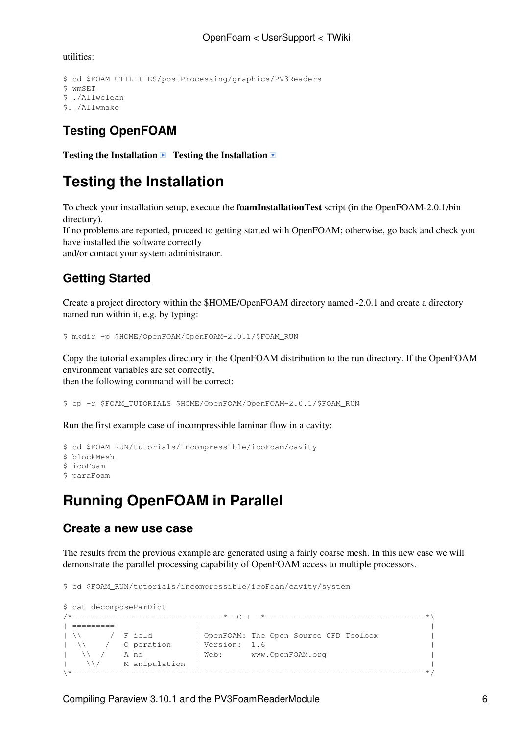utilities:

```
$ cd $FOAM_UTILITIES/postProcessing/graphics/PV3Readers
$ wmSET
$ ./Allwclean
$. /Allwmake
```
### **Testing [OpenFOAM](https://wiki-igi.cnaf.infn.it/twiki/bin/edit/UserSupport/OpenFOAM?topicparent=UserSupport.OpenFoam;nowysiwyg=0)**

**Testing the Installation Testing the Installation** 

# **Testing the Installation**

To check your installation setup, execute the **foamInstallationTest** script (in the [OpenFOAM-](https://wiki-igi.cnaf.infn.it/twiki/bin/edit/UserSupport/OpenFOAM?topicparent=UserSupport.OpenFoam;nowysiwyg=0)2.0.1/bin directory).

If no problems are reported, proceed to getting started with [OpenFOAM](https://wiki-igi.cnaf.infn.it/twiki/bin/edit/UserSupport/OpenFOAM?topicparent=UserSupport.OpenFoam;nowysiwyg=0); otherwise, go back and check you have installed the software correctly

and/or contact your system administrator.

### **Getting Started**

Create a project directory within the \$HOME/OpenFOAM directory named -2.0.1 and create a directory named run within it, e.g. by typing:

\$ mkdir -p \$HOME/OpenFOAM/OpenFOAM-2.0.1/\$FOAM\_RUN

Copy the tutorial examples directory in the [OpenFOAM](https://wiki-igi.cnaf.infn.it/twiki/bin/edit/UserSupport/OpenFOAM?topicparent=UserSupport.OpenFoam;nowysiwyg=0) distribution to the run directory. If the [OpenFOAM](https://wiki-igi.cnaf.infn.it/twiki/bin/edit/UserSupport/OpenFOAM?topicparent=UserSupport.OpenFoam;nowysiwyg=0) environment variables are set correctly, then the following command will be correct:

\$ cp -r \$FOAM\_TUTORIALS \$HOME/OpenFOAM/OpenFOAM-2.0.1/\$FOAM\_RUN

Run the first example case of incompressible laminar flow in a cavity:

```
$ cd $FOAM_RUN/tutorials/incompressible/icoFoam/cavity
$ blockMesh
$ icoFoam
$ paraFoam
```
# **Running [OpenFOAM](https://wiki-igi.cnaf.infn.it/twiki/bin/edit/UserSupport/OpenFOAM?topicparent=UserSupport.OpenFoam;nowysiwyg=0) in Parallel**

#### **Create a new use case**

The results from the previous example are generated using a fairly coarse mesh. In this new case we will demonstrate the parallel processing capability of [OpenFOAM](https://wiki-igi.cnaf.infn.it/twiki/bin/edit/UserSupport/OpenFOAM?topicparent=UserSupport.OpenFoam;nowysiwyg=0) access to multiple processors.

\$ cd \$FOAM\_RUN/tutorials/incompressible/icoFoam/cavity/system

```
$ cat decomposeParDict 
/*--------------------------------*- C++ -*----------------------------------*\
| ========= | |
| \\ / F ield | OpenFOAM: The Open Source CFD Toolbox |
| \\ / O peration | Version: 1.6 |
| \\ / A nd | Web: www.OpenFOAM.org |
|\hspace{.1cm} \setminus \setminus \hspace{.1cm} \hspace{.1cm} M anipulation |\hspace{.1cm} \setminus \setminus \hspace{.1cm} \setminus \hspace{.1cm} \hspace{.1cm} \hspace{.1cm}\*---------------------------------------------------------------------------*/
```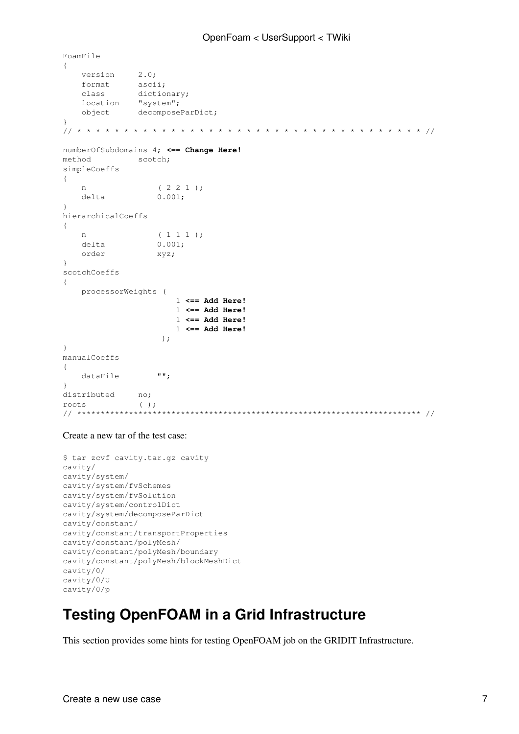```
FoamFile
{
version 2.0;
format ascii;
 class dictionary;
location "system";
 object decomposeParDict;
}
// * * * * * * * * * * * * * * * * * * * * * * * * * * * * * * * * * * * * * //
numberOfSubdomains 4; <== Change Here!
method scotch;
simpleCoeffs
{
n ( 2 2 1 );
delta 0.001;
}
hierarchicalCoeffs
{
n ( 1 1 1 );
delta 0.001;
 order xyz;
}
scotchCoeffs
{
    processorWeights (
                    1 <== Add Here!
                    1 <== Add Here!
                    1 <== Add Here!
                    1 <== Add Here!
) ;
}
manualCoeffs
{
   dataFile "";
}
distributed no;
roots ( );
// ************************************************************************* //
```
#### Create a new tar of the test case:

```
$ tar zcvf cavity.tar.gz cavity
cavity/
cavity/system/
cavity/system/fvSchemes
cavity/system/fvSolution
cavity/system/controlDict
cavity/system/decomposeParDict
cavity/constant/
cavity/constant/transportProperties
cavity/constant/polyMesh/
cavity/constant/polyMesh/boundary
cavity/constant/polyMesh/blockMeshDict
cavity/0/
cavity/0/U
cavity/0/p
```
## **Testing [OpenFOAM](https://wiki-igi.cnaf.infn.it/twiki/bin/edit/UserSupport/OpenFOAM?topicparent=UserSupport.OpenFoam;nowysiwyg=0) in a Grid Infrastructure**

This section provides some hints for testing [OpenFOAM](https://wiki-igi.cnaf.infn.it/twiki/bin/edit/UserSupport/OpenFOAM?topicparent=UserSupport.OpenFoam;nowysiwyg=0) job on the GRIDIT Infrastructure.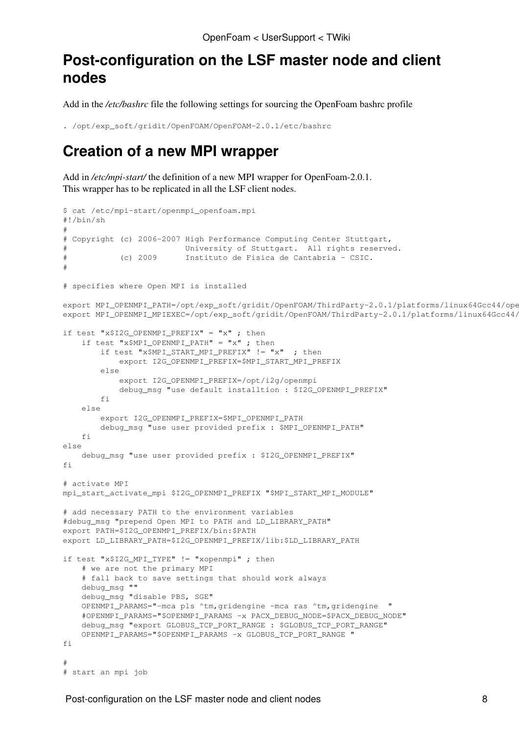## **Post-configuration on the LSF master node and client nodes**

Add in the */etc/bashrc* file the following settings for sourcing the OpenFoam bashrc profile

```
. /opt/exp_soft/gridit/OpenFOAM/OpenFOAM-2.0.1/etc/bashrc
```
### **Creation of a new MPI wrapper**

Add in /etc/mpi-start/ the definition of a new MPI wrapper for OpenFoam-2.0.1. This wrapper has to be replicated in all the LSF client nodes.

```
$ cat /etc/mpi-start/openmpi_openfoam.mpi 
#!/bin/sh
#
# Copyright (c) 2006-2007 High Performance Computing Center Stuttgart,
                          University of Stuttgart. All rights reserved.
# (c) 2009 Instituto de Fisica de Cantabria - CSIC. 
#
# specifies where Open MPI is installed
export MPI_OPENMPI_PATH=/opt/exp_soft/gridit/OpenFOAM/ThirdParty-2.0.1/platforms/linux64Gcc44/ope
export MPI_OPENMPI_MPIEXEC=/opt/exp_soft/gridit/OpenFOAM/ThirdParty-2.0.1/platforms/linux64Gcc44/
if test "x$I2G OPENMPI PREFIX" = "x" ; then
    if test "x$MPI_OPENMPI_PATH" = "x" ; then
         if test "x$MPI_START_MPI_PREFIX" != "x" ; then 
             export I2G_OPENMPI_PREFIX=$MPI_START_MPI_PREFIX
         else 
             export I2G_OPENMPI_PREFIX=/opt/i2g/openmpi
             debug_msg "use default installtion : $I2G_OPENMPI_PREFIX"
        f_i else
         export I2G_OPENMPI_PREFIX=$MPI_OPENMPI_PATH
         debug_msg "use user provided prefix : $MPI_OPENMPI_PATH"
    f_1else 
     debug_msg "use user provided prefix : $I2G_OPENMPI_PREFIX"
fi
# activate MPI
mpi_start_activate_mpi $I2G_OPENMPI_PREFIX "$MPI_START_MPI_MODULE"
# add necessary PATH to the environment variables
#debug_msg "prepend Open MPI to PATH and LD_LIBRARY_PATH"
export PATH=$I2G OPENMPI PREFIX/bin:$PATH
export LD_LIBRARY_PATH=$I2G_OPENMPI_PREFIX/lib:$LD_LIBRARY_PATH
if test "x$I2G_MPI_TYPE" != "xopenmpi" ; then
     # we are not the primary MPI 
     # fall back to save settings that should work always
     debug_msg ""
    debug msg "disable PBS, SGE"
     OPENMPI_PARAMS="-mca pls ^tm,gridengine -mca ras ^tm,gridengine "
     #OPENMPI_PARAMS="$OPENMPI_PARAMS -x PACX_DEBUG_NODE=$PACX_DEBUG_NODE"
     debug_msg "export GLOBUS_TCP_PORT_RANGE : $GLOBUS_TCP_PORT_RANGE"
     OPENMPI_PARAMS="$OPENMPI_PARAMS -x GLOBUS_TCP_PORT_RANGE "
f_i#
# start an mpi job
```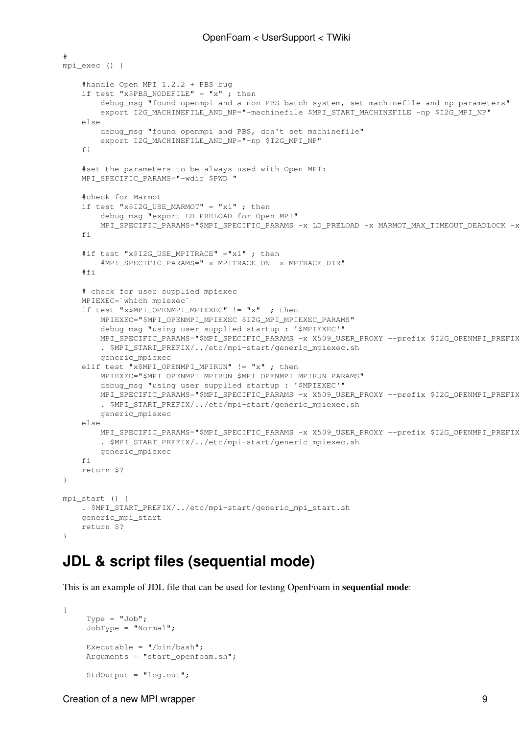```
#
mpi_exec () {
     #handle Open MPI 1.2.2 + PBS bug
     if test "x$PBS_NODEFILE" = "x" ; then
        debug msg "found openmpi and a non-PBS batch system, set machinefile and np parameters"
        export I2G_MACHINEFILE_AND_NP="-machinefile $MPI_START_MACHINEFILE -np $I2G_MPI_NP"
     else
         debug_msg "found openmpi and PBS, don't set machinefile"
         export I2G_MACHINEFILE_AND_NP="-np $I2G_MPI_NP"
    f_i #set the parameters to be always used with Open MPI:
     MPI_SPECIFIC_PARAMS="-wdir $PWD "
     #check for Marmot
    if test "x$I2G_USE_MARMOT" = "x1" ; then
         debug_msg "export LD_PRELOAD for Open MPI"
        MPI_SPECIFIC_PARAMS="$MPI_SPECIFIC_PARAMS -x LD_PRELOAD -x MARMOT_MAX_TIMEOUT_DEADLOCK -x
     fi
    #if test "x$I2G USE MPITRACE" ="x1" ; then
         #MPI_SPECIFIC_PARAMS="-x MPITRACE_ON -x MPTRACE_DIR"
     #fi
     # check for user supplied mpiexec 
     MPIEXEC=`which mpiexec`
     if test "x$MPI_OPENMPI_MPIEXEC" != "x" ; then
         MPIEXEC="$MPI_OPENMPI_MPIEXEC $I2G_MPI_MPIEXEC_PARAMS"
         debug_msg "using user supplied startup : '$MPIEXEC'"
        MPI_SPECIFIC_PARAMS="$MPI_SPECIFIC_PARAMS -x X509_USER_PROXY --prefix $I2G_OPENMPI_PREFIX
         . $MPI_START_PREFIX/../etc/mpi-start/generic_mpiexec.sh
         generic_mpiexec
     elif test "x$MPI_OPENMPI_MPIRUN" != "x" ; then
         MPIEXEC="$MPI_OPENMPI_MPIRUN $MPI_OPENMPI_MPIRUN_PARAMS"
         debug_msg "using user supplied startup : '$MPIEXEC'"
        MPI_SPECIFIC_PARAMS="$MPI_SPECIFIC_PARAMS -x X509_USER_PROXY --prefix $I2G_OPENMPI_PREFIX
         . $MPI_START_PREFIX/../etc/mpi-start/generic_mpiexec.sh
         generic_mpiexec
     else
       MPI_SPECIFIC_PARAMS="$MPI_SPECIFIC_PARAMS -x X509_USER_PROXY --prefix $I2G_OPENMPI_PREFIX
         . $MPI_START_PREFIX/../etc/mpi-start/generic_mpiexec.sh
         generic_mpiexec
    fi
     return $?
}
mpi_start () {
     . $MPI_START_PREFIX/../etc/mpi-start/generic_mpi_start.sh
     generic_mpi_start
     return $?
}
```
## **JDL & script files (sequential mode)**

This is an example of JDL file that can be used for testing OpenFoam in **sequential mode**:

```
[
    Type = "Job"; JobType = "Normal";
     Executable = "/bin/bash";
     Arguments = "start_openfoam.sh";
      StdOutput = "log.out";
```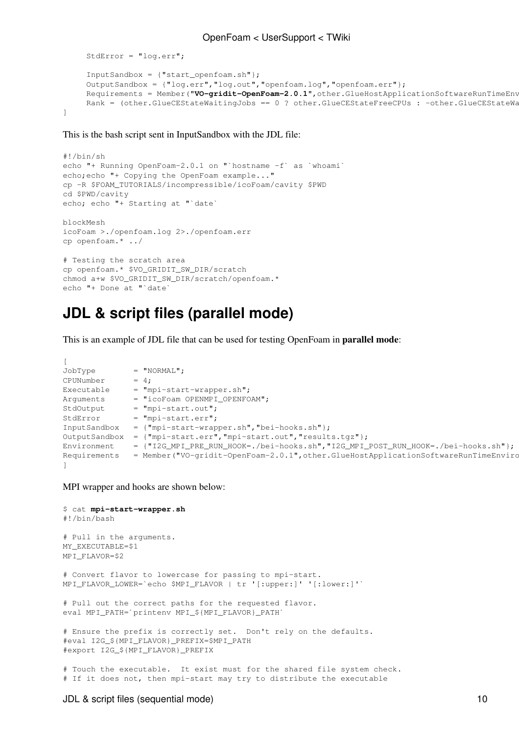```
 StdError = "log.err";
      InputSandbox = {"start_openfoam.sh"};
      OutputSandbox = {"log.err","log.out","openfoam.log","openfoam.err"};
     Requirements = Member("VO-gridit-OpenFoam-2.0.1", other.GlueHostApplicationSoftwareRunTimeEnv
     Rank = (other.GlueCEStateWaitingJobs == 0 ? other.GlueCEStateFreeCPUs : -other.GlueCEStateWa
]
```
This is the bash script sent in [InputSandbox](https://wiki-igi.cnaf.infn.it/twiki/bin/edit/UserSupport/InputSandbox?topicparent=UserSupport.OpenFoam;nowysiwyg=0) with the JDL file:

```
#!/bin/sh
echo "+ Running OpenFoam-2.0.1 on "`hostname -f` as `whoami`
echo; echo "+ Copying the OpenFoam example..."
cp -R $FOAM_TUTORIALS/incompressible/icoFoam/cavity $PWD
cd $PWD/cavity
echo; echo "+ Starting at "`date`
blockMesh
icoFoam >./openfoam.log 2>./openfoam.err
cp openfoam.* ../
# Testing the scratch area
cp openfoam.* $VO_GRIDIT_SW_DIR/scratch
chmod a+w $VO_GRIDIT_SW_DIR/scratch/openfoam.*
echo "+ Done at "`date`
```
#### **JDL & script files (parallel mode)**

This is an example of JDL file that can be used for testing OpenFoam in **parallel mode**:

```
[
JobType = "NORMAL";
CPUNumber = 4;
Executable = "mpi-start-wrapper.sh";
Arguments = "icoFoam OPENMPI_OPENFOAM";<br>StdOutput = "mpi-start.out";<br>StdError = "mini-start arr".= "mpi-start.out";
StdError = "mpi-start.err";
InputSandbox = {"mpi-start-wrapper.sh","bei-hooks.sh"};
OutputSandbox = {"mpi-start.err","mpi-start.out","results.tgz"};
Environment = {"I2G_MPI_PRE_RUN_HOOK=./bei-hooks.sh","I2G_MPI_POST_RUN_HOOK=./bei-hooks.sh"};
Requirements = Member("VO-gridit-OpenFoam-2.0.1", other.GlueHostApplicationSoftwareRunTimeEnviro
]
```
MPI wrapper and hooks are shown below:

```
$ cat mpi-start-wrapper.sh
#!/bin/bash
# Pull in the arguments.
MY_EXECUTABLE=$1
MPI_FLAVOR=$2
# Convert flavor to lowercase for passing to mpi-start.
MPI_FLAVOR_LOWER=`echo $MPI_FLAVOR | tr '[:upper:]' '[:lower:]'`
# Pull out the correct paths for the requested flavor.
eval MPI_PATH=`printenv MPI_${MPI_FLAVOR}_PATH`
# Ensure the prefix is correctly set. Don't rely on the defaults.
#eval I2G_${MPI_FLAVOR}_PREFIX=$MPI_PATH
#export I2G_${MPI_FLAVOR}_PREFIX
# Touch the executable. It exist must for the shared file system check.
# If it does not, then mpi-start may try to distribute the executable
```
#### JDL & script files (sequential mode) 10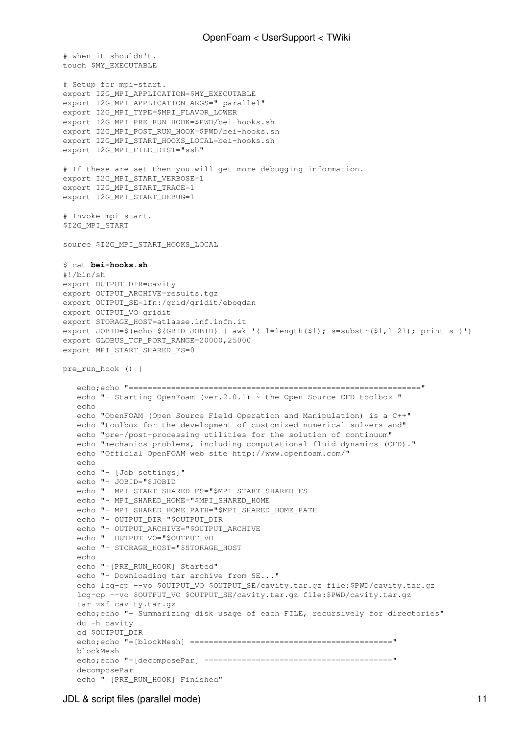```
# when it shouldn't.
touch $MY_EXECUTABLE
# Setup for mpi-start.
export I2G_MPI_APPLICATION=$MY_EXECUTABLE
export I2G MPI APPLICATION ARGS="-parallel"
export I2G_MPI_TYPE=$MPI_FLAVOR_LOWER
export I2G_MPI_PRE_RUN_HOOK=$PWD/bei-hooks.sh
export I2G_MPI_POST_RUN_HOOK=$PWD/bei-hooks.sh
export I2G_MPI_START_HOOKS_LOCAL=bei-hooks.sh
export I2G MPI FILE DIST="ssh"
# If these are set then you will get more debugging information.
export I2G_MPI_START_VERBOSE=1
export I2G_MPI_START_TRACE=1
export I2G_MPI_START_DEBUG=1
# Invoke mpi-start.
$I2G_MPI_START
source $I2G_MPI_START_HOOKS_LOCAL
$ cat bei-hooks.sh
#!/bin/sh
export OUTPUT DIR=cavity
export OUTPUT_ARCHIVE=results.tgz
export OUTPUT_SE=lfn:/grid/gridit/ebogdan
export OUTPUT_VO=gridit
export STORAGE_HOST=atlasse.lnf.infn.it
export JOBID=$(echo ${GRID_JOBID} | awk '{ l=length($1); s=substr($1,l-21); print s }')
export GLOBUS_TCP_PORT_RANGE=20000,25000
export MPI_START_SHARED_FS=0
pre_run_hook () {
    echo;echo "=============================================================="
   echo "- Starting OpenFoam (ver. 2.0.1) ~ the Open Source CFD toolbox "
    echo
    echo "OpenFOAM (Open Source Field Operation and Manipulation) is a C++"
    echo "toolbox for the development of customized numerical solvers and"
    echo "pre-/post-processing utilities for the solution of continuum"
   echo "mechanics problems, including computational fluid dynamics (CFD)."
    echo "Official OpenFOAM web site http://www.openfoam.com/"
    echo 
   echo "- [Job settings]"
    echo "- JOBID="$JOBID
    echo "- MPI_START_SHARED_FS="$MPI_START_SHARED_FS
    echo "- MPI_SHARED_HOME="$MPI_SHARED_HOME
    echo "- MPI_SHARED_HOME_PATH="$MPI_SHARED_HOME_PATH
    echo "- OUTPUT_DIR="$OUTPUT_DIR
    echo "- OUTPUT_ARCHIVE="$OUTPUT_ARCHIVE
    echo "- OUTPUT_VO="$OUTPUT_VO
    echo "- STORAGE_HOST="$STORAGE_HOST
    echo 
    echo "=[PRE_RUN_HOOK] Started"
   echo "- Downloading tar archive from SE..."
    echo lcg-cp --vo $OUTPUT_VO $OUTPUT_SE/cavity.tar.gz file:$PWD/cavity.tar.gz
   lcg-cp --vo $OUTPUT_VO $OUTPUT_SE/cavity.tar.gz file:$PWD/cavity.tar.gz
   tar zxf cavity.tar.gz
   echo; echo "- Summarizing disk usage of each FILE, recursively for directories"
    du -h cavity
    cd $OUTPUT_DIR
    echo;echo "=[blockMesh] ==========================================="
    blockMesh
    echo;echo "=[decomposePar] ========================================"
    decomposePar
    echo "=[PRE_RUN_HOOK] Finished"
```